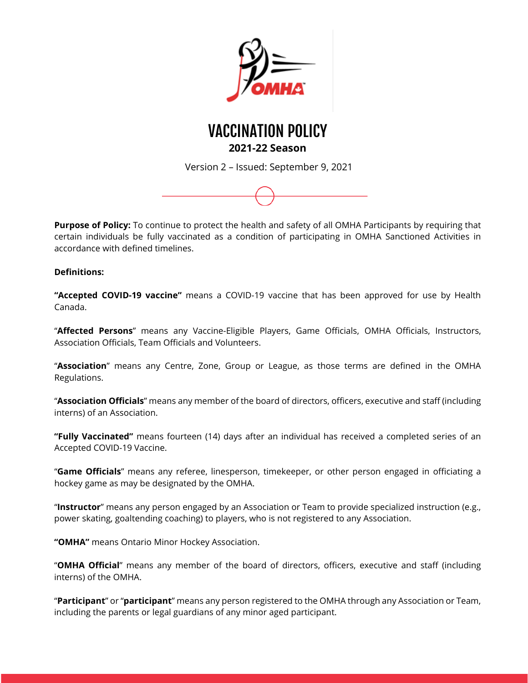



Version 2 – Issued: September 9, 2021



**Purpose of Policy:** To continue to protect the health and safety of all OMHA Participants by requiring that certain individuals be fully vaccinated as a condition of participating in OMHA Sanctioned Activities in accordance with defined timelines.

#### **Definitions:**

**"Accepted COVID-19 vaccine"** means a COVID-19 vaccine that has been approved for use by Health Canada.

"**Affected Persons**" means any Vaccine-Eligible Players, Game Officials, OMHA Officials, Instructors, Association Officials, Team Officials and Volunteers.

"**Association**" means any Centre, Zone, Group or League, as those terms are defined in the OMHA Regulations.

"**Association Officials**" means any member of the board of directors, officers, executive and staff (including interns) of an Association.

**"Fully Vaccinated"** means fourteen (14) days after an individual has received a completed series of an Accepted COVID-19 Vaccine.

"**Game Officials**" means any referee, linesperson, timekeeper, or other person engaged in officiating a hockey game as may be designated by the OMHA.

"**Instructor**" means any person engaged by an Association or Team to provide specialized instruction (e.g., power skating, goaltending coaching) to players, who is not registered to any Association.

**"OMHA"** means Ontario Minor Hockey Association.

"**OMHA Official**" means any member of the board of directors, officers, executive and staff (including interns) of the OMHA.

"**Participant**" or "**participant**" means any person registered to the OMHA through any Association or Team, including the parents or legal guardians of any minor aged participant.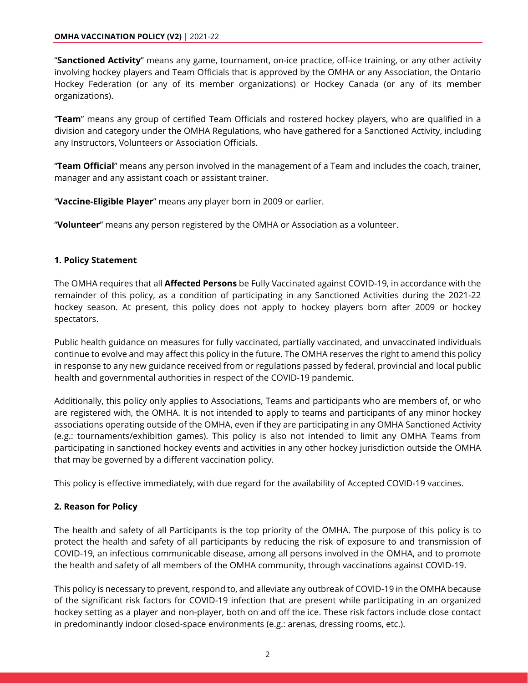"**Sanctioned Activity**" means any game, tournament, on-ice practice, off-ice training, or any other activity involving hockey players and Team Officials that is approved by the OMHA or any Association, the Ontario Hockey Federation (or any of its member organizations) or Hockey Canada (or any of its member organizations).

"**Team**" means any group of certified Team Officials and rostered hockey players, who are qualified in a division and category under the OMHA Regulations, who have gathered for a Sanctioned Activity, including any Instructors, Volunteers or Association Officials.

"**Team Official**" means any person involved in the management of a Team and includes the coach, trainer, manager and any assistant coach or assistant trainer.

"**Vaccine-Eligible Player**" means any player born in 2009 or earlier.

"**Volunteer**" means any person registered by the OMHA or Association as a volunteer.

#### **1. Policy Statement**

The OMHA requires that all **Affected Persons** be Fully Vaccinated against COVID-19, in accordance with the remainder of this policy, as a condition of participating in any Sanctioned Activities during the 2021-22 hockey season. At present, this policy does not apply to hockey players born after 2009 or hockey spectators.

Public health guidance on measures for fully vaccinated, partially vaccinated, and unvaccinated individuals continue to evolve and may affect this policy in the future. The OMHA reserves the right to amend this policy in response to any new guidance received from or regulations passed by federal, provincial and local public health and governmental authorities in respect of the COVID-19 pandemic.

Additionally, this policy only applies to Associations, Teams and participants who are members of, or who are registered with, the OMHA. It is not intended to apply to teams and participants of any minor hockey associations operating outside of the OMHA, even if they are participating in any OMHA Sanctioned Activity (e.g.: tournaments/exhibition games). This policy is also not intended to limit any OMHA Teams from participating in sanctioned hockey events and activities in any other hockey jurisdiction outside the OMHA that may be governed by a different vaccination policy.

This policy is effective immediately, with due regard for the availability of Accepted COVID-19 vaccines.

#### **2. Reason for Policy**

The health and safety of all Participants is the top priority of the OMHA. The purpose of this policy is to protect the health and safety of all participants by reducing the risk of exposure to and transmission of COVID-19, an infectious communicable disease, among all persons involved in the OMHA, and to promote the health and safety of all members of the OMHA community, through vaccinations against COVID-19.

This policy is necessary to prevent, respond to, and alleviate any outbreak of COVID-19 in the OMHA because of the significant risk factors for COVID-19 infection that are present while participating in an organized hockey setting as a player and non-player, both on and off the ice. These risk factors include close contact in predominantly indoor closed-space environments (e.g.: arenas, dressing rooms, etc.).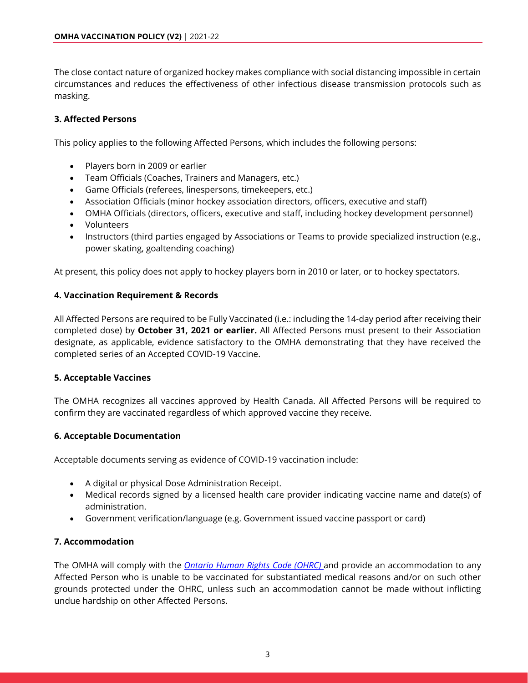The close contact nature of organized hockey makes compliance with social distancing impossible in certain circumstances and reduces the effectiveness of other infectious disease transmission protocols such as masking.

### **3. Affected Persons**

This policy applies to the following Affected Persons, which includes the following persons:

- Players born in 2009 or earlier
- Team Officials (Coaches, Trainers and Managers, etc.)
- Game Officials (referees, linespersons, timekeepers, etc.)
- Association Officials (minor hockey association directors, officers, executive and staff)
- OMHA Officials (directors, officers, executive and staff, including hockey development personnel)
- Volunteers
- Instructors (third parties engaged by Associations or Teams to provide specialized instruction (e.g., power skating, goaltending coaching)

At present, this policy does not apply to hockey players born in 2010 or later, or to hockey spectators.

#### **4. Vaccination Requirement & Records**

All Affected Persons are required to be Fully Vaccinated (i.e.: including the 14-day period after receiving their completed dose) by **October 31, 2021 or earlier.** All Affected Persons must present to their Association designate, as applicable, evidence satisfactory to the OMHA demonstrating that they have received the completed series of an Accepted COVID-19 Vaccine.

#### **5. Acceptable Vaccines**

The OMHA recognizes all vaccines approved by Health Canada. All Affected Persons will be required to confirm they are vaccinated regardless of which approved vaccine they receive.

#### **6. Acceptable Documentation**

Acceptable documents serving as evidence of COVID-19 vaccination include:

- A digital or physical Dose Administration Receipt.
- Medical records signed by a licensed health care provider indicating vaccine name and date(s) of administration.
- Government verification/language (e.g. Government issued vaccine passport or card)

#### **7. Accommodation**

The OMHA will comply with the *[Ontario Human Rights Code \(OHRC\)](http://www.ohrc.on.ca/en/ontario-human-rights-code)* and provide an accommodation to any Affected Person who is unable to be vaccinated for substantiated medical reasons and/or on such other grounds protected under the OHRC, unless such an accommodation cannot be made without inflicting undue hardship on other Affected Persons.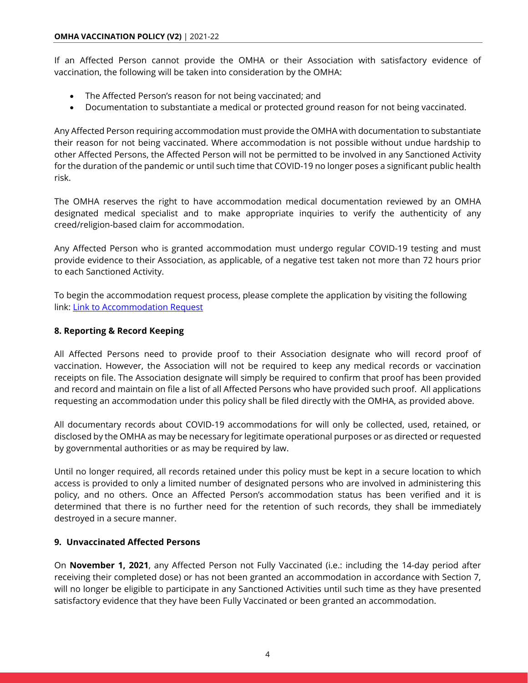If an Affected Person cannot provide the OMHA or their Association with satisfactory evidence of vaccination, the following will be taken into consideration by the OMHA:

- The Affected Person's reason for not being vaccinated; and
- Documentation to substantiate a medical or protected ground reason for not being vaccinated.

Any Affected Person requiring accommodation must provide the OMHA with documentation to substantiate their reason for not being vaccinated. Where accommodation is not possible without undue hardship to other Affected Persons, the Affected Person will not be permitted to be involved in any Sanctioned Activity for the duration of the pandemic or until such time that COVID-19 no longer poses a significant public health risk.

The OMHA reserves the right to have accommodation medical documentation reviewed by an OMHA designated medical specialist and to make appropriate inquiries to verify the authenticity of any creed/religion-based claim for accommodation.

Any Affected Person who is granted accommodation must undergo regular COVID-19 testing and must provide evidence to their Association, as applicable, of a negative test taken not more than 72 hours prior to each Sanctioned Activity.

To begin the accommodation request process, please complete the application by visiting the following link[: Link to Accommodation Request](https://form.jotform.com/212446027965055)

# **8. Reporting & Record Keeping**

All Affected Persons need to provide proof to their Association designate who will record proof of vaccination. However, the Association will not be required to keep any medical records or vaccination receipts on file. The Association designate will simply be required to confirm that proof has been provided and record and maintain on file a list of all Affected Persons who have provided such proof. All applications requesting an accommodation under this policy shall be filed directly with the OMHA, as provided above.

All documentary records about COVID-19 accommodations for will only be collected, used, retained, or disclosed by the OMHA as may be necessary for legitimate operational purposes or as directed or requested by governmental authorities or as may be required by law.

Until no longer required, all records retained under this policy must be kept in a secure location to which access is provided to only a limited number of designated persons who are involved in administering this policy, and no others. Once an Affected Person's accommodation status has been verified and it is determined that there is no further need for the retention of such records, they shall be immediately destroyed in a secure manner.

# **9. Unvaccinated Affected Persons**

On **November 1, 2021**, any Affected Person not Fully Vaccinated (i.e.: including the 14-day period after receiving their completed dose) or has not been granted an accommodation in accordance with Section 7, will no longer be eligible to participate in any Sanctioned Activities until such time as they have presented satisfactory evidence that they have been Fully Vaccinated or been granted an accommodation.